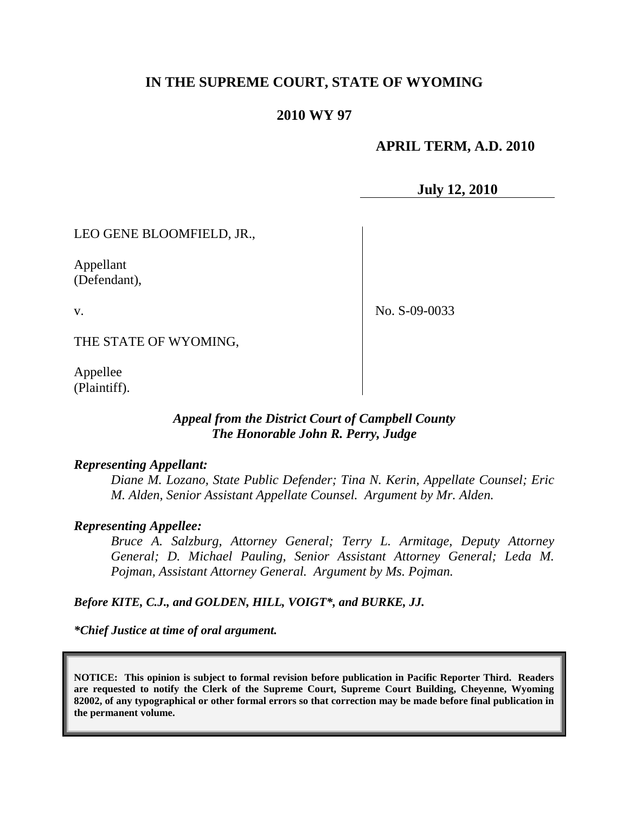# **IN THE SUPREME COURT, STATE OF WYOMING**

## **2010 WY 97**

## **APRIL TERM, A.D. 2010**

**July 12, 2010**

LEO GENE BLOOMFIELD, JR.,

Appellant (Defendant),

v.

No. S-09-0033

THE STATE OF WYOMING,

Appellee (Plaintiff).

## *Appeal from the District Court of Campbell County The Honorable John R. Perry, Judge*

#### *Representing Appellant:*

*Diane M. Lozano, State Public Defender; Tina N. Kerin, Appellate Counsel; Eric M. Alden, Senior Assistant Appellate Counsel. Argument by Mr. Alden.*

#### *Representing Appellee:*

*Bruce A. Salzburg, Attorney General; Terry L. Armitage, Deputy Attorney General; D. Michael Pauling, Senior Assistant Attorney General; Leda M. Pojman, Assistant Attorney General. Argument by Ms. Pojman.*

*Before KITE, C.J., and GOLDEN, HILL, VOIGT\*, and BURKE, JJ.*

*\*Chief Justice at time of oral argument.*

**NOTICE: This opinion is subject to formal revision before publication in Pacific Reporter Third. Readers are requested to notify the Clerk of the Supreme Court, Supreme Court Building, Cheyenne, Wyoming 82002, of any typographical or other formal errors so that correction may be made before final publication in the permanent volume.**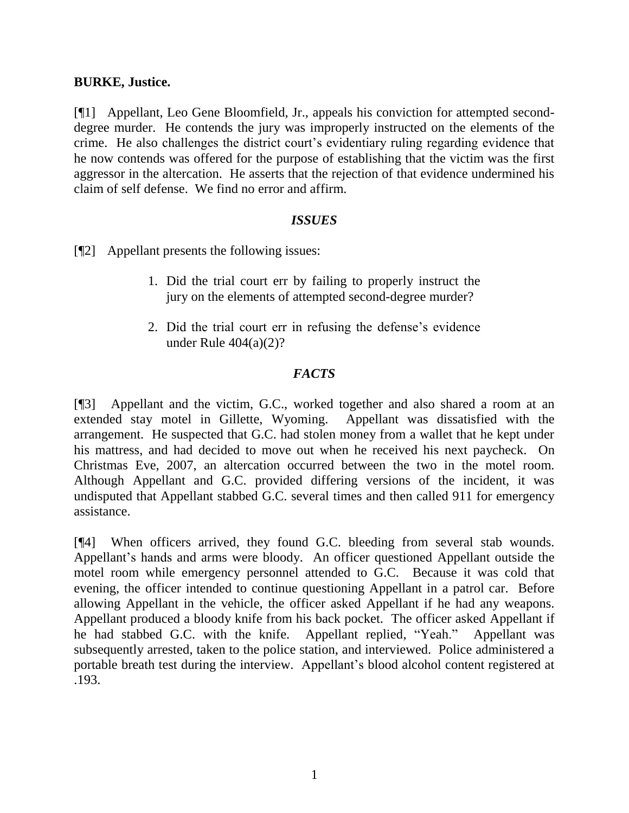## **BURKE, Justice.**

[¶1] Appellant, Leo Gene Bloomfield, Jr., appeals his conviction for attempted seconddegree murder. He contends the jury was improperly instructed on the elements of the crime. He also challenges the district court's evidentiary ruling regarding evidence that he now contends was offered for the purpose of establishing that the victim was the first aggressor in the altercation. He asserts that the rejection of that evidence undermined his claim of self defense. We find no error and affirm.

## *ISSUES*

[¶2] Appellant presents the following issues:

- 1. Did the trial court err by failing to properly instruct the jury on the elements of attempted second-degree murder?
- 2. Did the trial court err in refusing the defense"s evidence under Rule  $404(a)(2)$ ?

# *FACTS*

[¶3] Appellant and the victim, G.C., worked together and also shared a room at an extended stay motel in Gillette, Wyoming. Appellant was dissatisfied with the arrangement. He suspected that G.C. had stolen money from a wallet that he kept under his mattress, and had decided to move out when he received his next paycheck. On Christmas Eve, 2007, an altercation occurred between the two in the motel room. Although Appellant and G.C. provided differing versions of the incident, it was undisputed that Appellant stabbed G.C. several times and then called 911 for emergency assistance.

[¶4] When officers arrived, they found G.C. bleeding from several stab wounds. Appellant"s hands and arms were bloody. An officer questioned Appellant outside the motel room while emergency personnel attended to G.C. Because it was cold that evening, the officer intended to continue questioning Appellant in a patrol car. Before allowing Appellant in the vehicle, the officer asked Appellant if he had any weapons. Appellant produced a bloody knife from his back pocket. The officer asked Appellant if he had stabbed G.C. with the knife. Appellant replied, "Yeah." Appellant was subsequently arrested, taken to the police station, and interviewed. Police administered a portable breath test during the interview. Appellant's blood alcohol content registered at .193.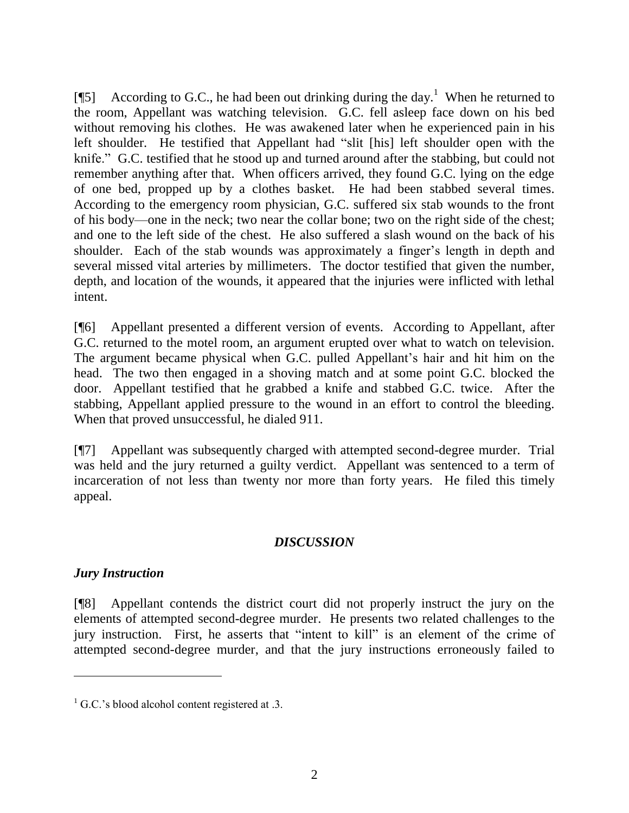[ $[$ [5] According to G.C., he had been out drinking during the day.<sup>1</sup> When he returned to the room, Appellant was watching television. G.C. fell asleep face down on his bed without removing his clothes. He was awakened later when he experienced pain in his left shoulder. He testified that Appellant had "slit [his] left shoulder open with the knife." G.C. testified that he stood up and turned around after the stabbing, but could not remember anything after that. When officers arrived, they found G.C. lying on the edge of one bed, propped up by a clothes basket. He had been stabbed several times. According to the emergency room physician, G.C. suffered six stab wounds to the front of his body—one in the neck; two near the collar bone; two on the right side of the chest; and one to the left side of the chest. He also suffered a slash wound on the back of his shoulder. Each of the stab wounds was approximately a finger's length in depth and several missed vital arteries by millimeters. The doctor testified that given the number, depth, and location of the wounds, it appeared that the injuries were inflicted with lethal intent.

[¶6] Appellant presented a different version of events. According to Appellant, after G.C. returned to the motel room, an argument erupted over what to watch on television. The argument became physical when G.C. pulled Appellant"s hair and hit him on the head. The two then engaged in a shoving match and at some point G.C. blocked the door. Appellant testified that he grabbed a knife and stabbed G.C. twice. After the stabbing, Appellant applied pressure to the wound in an effort to control the bleeding. When that proved unsuccessful, he dialed 911.

[¶7] Appellant was subsequently charged with attempted second-degree murder. Trial was held and the jury returned a guilty verdict. Appellant was sentenced to a term of incarceration of not less than twenty nor more than forty years. He filed this timely appeal.

## *DISCUSSION*

# *Jury Instruction*

[¶8] Appellant contends the district court did not properly instruct the jury on the elements of attempted second-degree murder. He presents two related challenges to the jury instruction. First, he asserts that "intent to kill" is an element of the crime of attempted second-degree murder, and that the jury instructions erroneously failed to

 $1^1$  G.C.'s blood alcohol content registered at .3.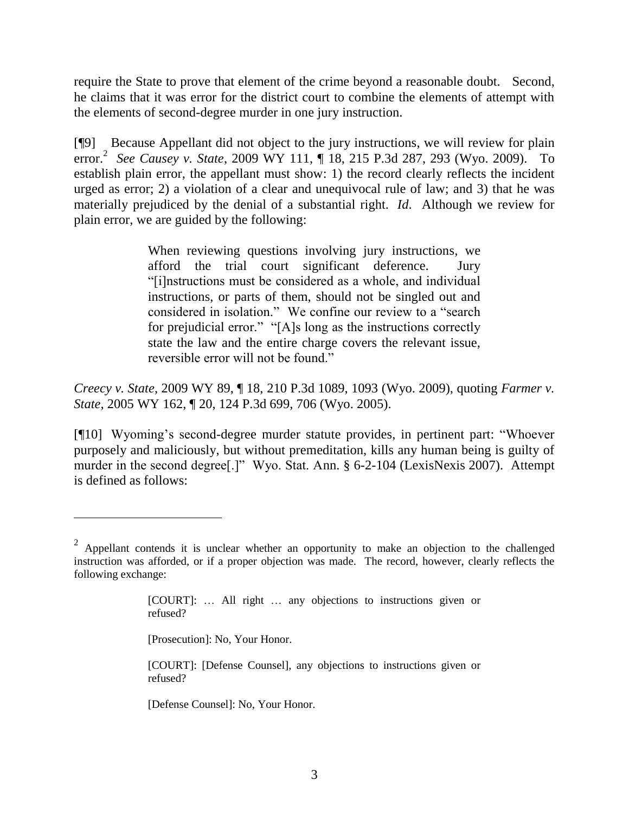require the State to prove that element of the crime beyond a reasonable doubt. Second, he claims that it was error for the district court to combine the elements of attempt with the elements of second-degree murder in one jury instruction.

[¶9] Because Appellant did not object to the jury instructions, we will review for plain error. 2 *See Causey v. State*, 2009 WY 111, ¶ 18, 215 P.3d 287, 293 (Wyo. 2009). To establish plain error, the appellant must show: 1) the record clearly reflects the incident urged as error; 2) a violation of a clear and unequivocal rule of law; and 3) that he was materially prejudiced by the denial of a substantial right. *Id*. Although we review for plain error, we are guided by the following:

> When reviewing questions involving jury instructions, we afford the trial court significant deference. Jury "[i]nstructions must be considered as a whole, and individual instructions, or parts of them, should not be singled out and considered in isolation." We confine our review to a "search for prejudicial error." "[A]s long as the instructions correctly state the law and the entire charge covers the relevant issue, reversible error will not be found."

*Creecy v. State*, 2009 WY 89, ¶ 18, 210 P.3d 1089, 1093 (Wyo. 2009), quoting *Farmer v. State*, 2005 WY 162, ¶ 20, 124 P.3d 699, 706 (Wyo. 2005).

[¶10] Wyoming's second-degree murder statute provides, in pertinent part: "Whoever" purposely and maliciously, but without premeditation, kills any human being is guilty of murder in the second degree[.]" Wyo. Stat. Ann. § 6-2-104 (LexisNexis 2007). Attempt is defined as follows:

[Prosecution]: No, Your Honor.

[Defense Counsel]: No, Your Honor.

 $2$  Appellant contends it is unclear whether an opportunity to make an objection to the challenged instruction was afforded, or if a proper objection was made. The record, however, clearly reflects the following exchange:

<sup>[</sup>COURT]: … All right … any objections to instructions given or refused?

<sup>[</sup>COURT]: [Defense Counsel], any objections to instructions given or refused?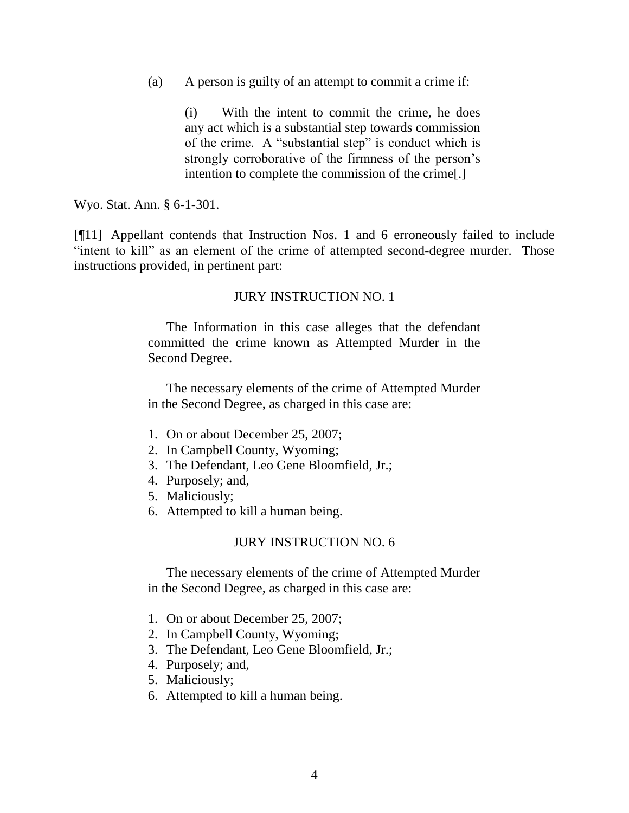(a) A person is guilty of an attempt to commit a crime if:

(i) With the intent to commit the crime, he does any act which is a substantial step towards commission of the crime. A "substantial step" is conduct which is strongly corroborative of the firmness of the person's intention to complete the commission of the crime[.]

Wyo. Stat. Ann. § 6-1-301.

[¶11] Appellant contends that Instruction Nos. 1 and 6 erroneously failed to include "intent to kill" as an element of the crime of attempted second-degree murder. Those instructions provided, in pertinent part:

#### JURY INSTRUCTION NO. 1

The Information in this case alleges that the defendant committed the crime known as Attempted Murder in the Second Degree.

The necessary elements of the crime of Attempted Murder in the Second Degree, as charged in this case are:

- 1. On or about December 25, 2007;
- 2. In Campbell County, Wyoming;
- 3. The Defendant, Leo Gene Bloomfield, Jr.;
- 4. Purposely; and,
- 5. Maliciously;
- 6. Attempted to kill a human being.

#### JURY INSTRUCTION NO. 6

The necessary elements of the crime of Attempted Murder in the Second Degree, as charged in this case are:

- 1. On or about December 25, 2007;
- 2. In Campbell County, Wyoming;
- 3. The Defendant, Leo Gene Bloomfield, Jr.;
- 4. Purposely; and,
- 5. Maliciously;
- 6. Attempted to kill a human being.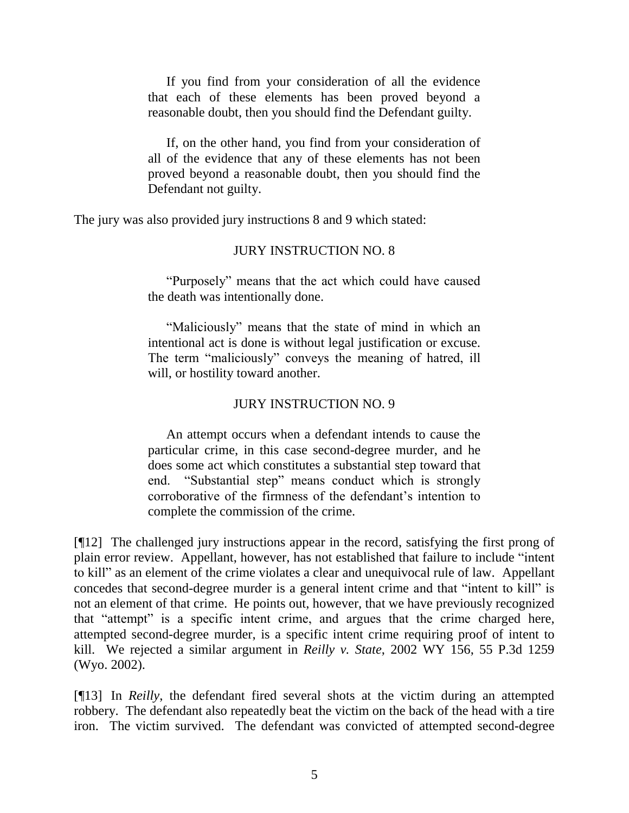If you find from your consideration of all the evidence that each of these elements has been proved beyond a reasonable doubt, then you should find the Defendant guilty.

If, on the other hand, you find from your consideration of all of the evidence that any of these elements has not been proved beyond a reasonable doubt, then you should find the Defendant not guilty.

The jury was also provided jury instructions 8 and 9 which stated:

## JURY INSTRUCTION NO. 8

"Purposely" means that the act which could have caused the death was intentionally done.

"Maliciously" means that the state of mind in which an intentional act is done is without legal justification or excuse. The term "maliciously" conveys the meaning of hatred, ill will, or hostility toward another.

## JURY INSTRUCTION NO. 9

An attempt occurs when a defendant intends to cause the particular crime, in this case second-degree murder, and he does some act which constitutes a substantial step toward that end. "Substantial step" means conduct which is strongly corroborative of the firmness of the defendant"s intention to complete the commission of the crime.

[¶12] The challenged jury instructions appear in the record, satisfying the first prong of plain error review. Appellant, however, has not established that failure to include "intent to kill" as an element of the crime violates a clear and unequivocal rule of law. Appellant concedes that second-degree murder is a general intent crime and that "intent to kill" is not an element of that crime. He points out, however, that we have previously recognized that "attempt" is a specific intent crime, and argues that the crime charged here, attempted second-degree murder, is a specific intent crime requiring proof of intent to kill. We rejected a similar argument in *Reilly v. State*, 2002 WY 156, 55 P.3d 1259 (Wyo. 2002).

[¶13] In *Reilly*, the defendant fired several shots at the victim during an attempted robbery. The defendant also repeatedly beat the victim on the back of the head with a tire iron. The victim survived. The defendant was convicted of attempted second-degree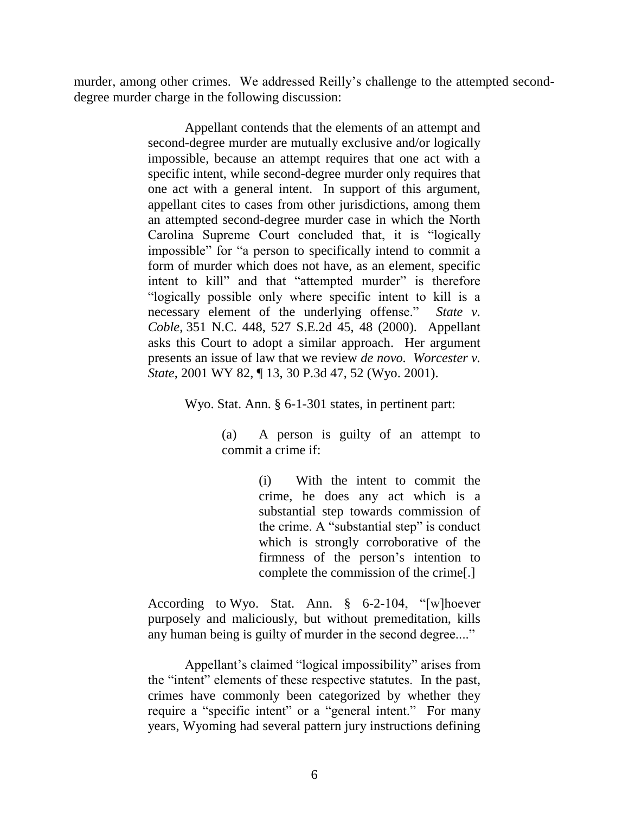murder, among other crimes. We addressed Reilly"s challenge to the attempted seconddegree murder charge in the following discussion:

> Appellant contends that the elements of an attempt and second-degree murder are mutually exclusive and/or logically impossible, because an attempt requires that one act with a specific intent, while second-degree murder only requires that one act with a general intent. In support of this argument, appellant cites to cases from other jurisdictions, among them an attempted second-degree murder case in which the North Carolina Supreme Court concluded that, it is "logically impossible" for "a person to specifically intend to commit a form of murder which does not have, as an element, specific intent to kill" and that "attempted murder" is therefore "logically possible only where specific intent to kill is a necessary element of the underlying offense." *State v. Coble*, 351 N.C. 448, 527 S.E.2d 45, 48 (2000). Appellant asks this Court to adopt a similar approach. Her argument presents an issue of law that we review *de novo. Worcester v. State*, 2001 WY 82, ¶ 13, 30 P.3d 47, 52 (Wyo. 2001).

> > Wyo. Stat. Ann. § 6-1-301 states, in pertinent part:

(a) A person is guilty of an attempt to commit a crime if:

> (i) With the intent to commit the crime, he does any act which is a substantial step towards commission of the crime. A "substantial step" is conduct which is strongly corroborative of the firmness of the person"s intention to complete the commission of the crime[.]

According to Wyo. Stat. Ann. § 6-2-104, "[w]hoever purposely and maliciously, but without premeditation, kills any human being is guilty of murder in the second degree...."

Appellant"s claimed "logical impossibility" arises from the "intent" elements of these respective statutes. In the past, crimes have commonly been categorized by whether they require a "specific intent" or a "general intent." For many years, Wyoming had several pattern jury instructions defining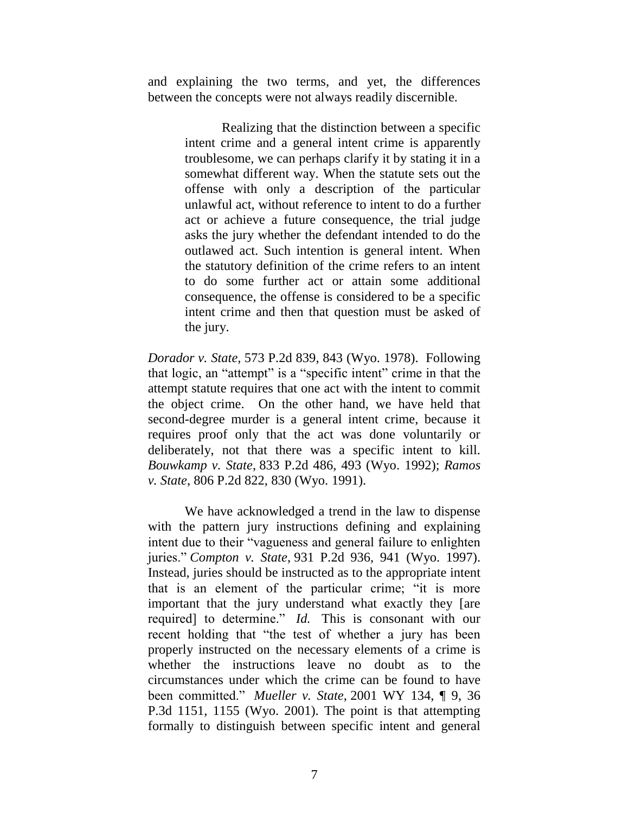and explaining the two terms, and yet, the differences between the concepts were not always readily discernible.

> Realizing that the distinction between a specific intent crime and a general intent crime is apparently troublesome, we can perhaps clarify it by stating it in a somewhat different way. When the statute sets out the offense with only a description of the particular unlawful act, without reference to intent to do a further act or achieve a future consequence, the trial judge asks the jury whether the defendant intended to do the outlawed act. Such intention is general intent. When the statutory definition of the crime refers to an intent to do some further act or attain some additional consequence, the offense is considered to be a specific intent crime and then that question must be asked of the jury.

*Dorador v. State,* 573 P.2d 839, 843 (Wyo. 1978). Following that logic, an "attempt" is a "specific intent" crime in that the attempt statute requires that one act with the intent to commit the object crime. On the other hand, we have held that second-degree murder is a general intent crime, because it requires proof only that the act was done voluntarily or deliberately, not that there was a specific intent to kill. *Bouwkamp v. State*, 833 P.2d 486, 493 (Wyo. 1992); *Ramos v. State*, 806 P.2d 822, 830 (Wyo. 1991).

We have acknowledged a trend in the law to dispense with the pattern jury instructions defining and explaining intent due to their "vagueness and general failure to enlighten juries." *Compton v. State*, 931 P.2d 936, 941 (Wyo. 1997). Instead, juries should be instructed as to the appropriate intent that is an element of the particular crime; "it is more important that the jury understand what exactly they [are required] to determine." *Id.* This is consonant with our recent holding that "the test of whether a jury has been properly instructed on the necessary elements of a crime is whether the instructions leave no doubt as to the circumstances under which the crime can be found to have been committed." *Mueller v. State*, 2001 WY 134, ¶ 9, 36 P.3d 1151, 1155 (Wyo. 2001). The point is that attempting formally to distinguish between specific intent and general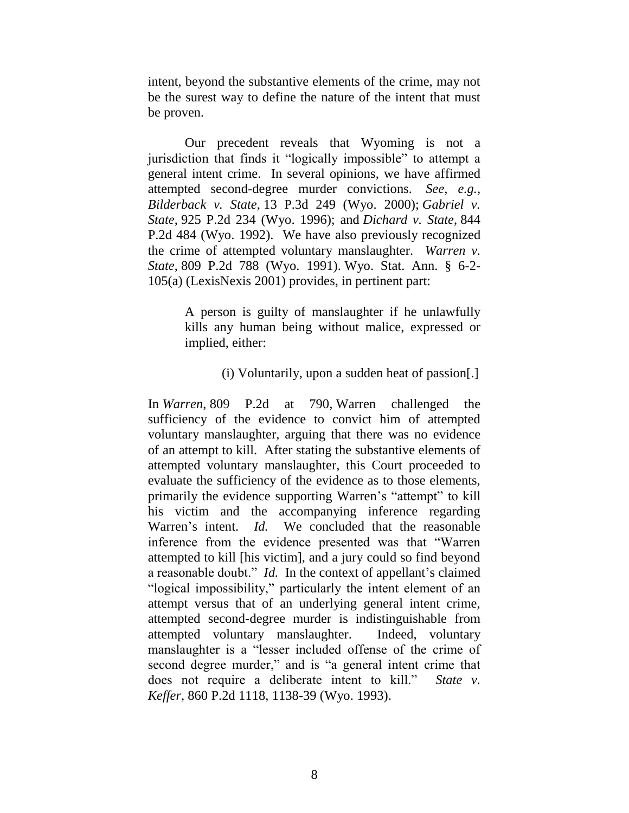intent, beyond the substantive elements of the crime, may not be the surest way to define the nature of the intent that must be proven.

Our precedent reveals that Wyoming is not a jurisdiction that finds it "logically impossible" to attempt a general intent crime. In several opinions, we have affirmed attempted second-degree murder convictions. *See, e.g., Bilderback v. State*, 13 P.3d 249 (Wyo. 2000); *Gabriel v. State*, 925 P.2d 234 (Wyo. 1996); and *Dichard v. State*, 844 P.2d 484 (Wyo. 1992). We have also previously recognized the crime of attempted voluntary manslaughter. *Warren v. State*, 809 P.2d 788 (Wyo. 1991). Wyo. Stat. Ann. § 6-2- 105(a) (LexisNexis 2001) provides, in pertinent part:

> A person is guilty of manslaughter if he unlawfully kills any human being without malice, expressed or implied, either:

#### (i) Voluntarily, upon a sudden heat of passion[.]

In *Warren*, 809 P.2d at 790, Warren challenged the sufficiency of the evidence to convict him of attempted voluntary manslaughter, arguing that there was no evidence of an attempt to kill. After stating the substantive elements of attempted voluntary manslaughter, this Court proceeded to evaluate the sufficiency of the evidence as to those elements, primarily the evidence supporting Warren"s "attempt" to kill his victim and the accompanying inference regarding Warren's intent. *Id*. We concluded that the reasonable inference from the evidence presented was that "Warren attempted to kill [his victim], and a jury could so find beyond a reasonable doubt." *Id.* In the context of appellant's claimed "logical impossibility," particularly the intent element of an attempt versus that of an underlying general intent crime, attempted second-degree murder is indistinguishable from attempted voluntary manslaughter. Indeed, voluntary manslaughter is a "lesser included offense of the crime of second degree murder," and is "a general intent crime that does not require a deliberate intent to kill." *State v. Keffer*, 860 P.2d 1118, 1138-39 (Wyo. 1993).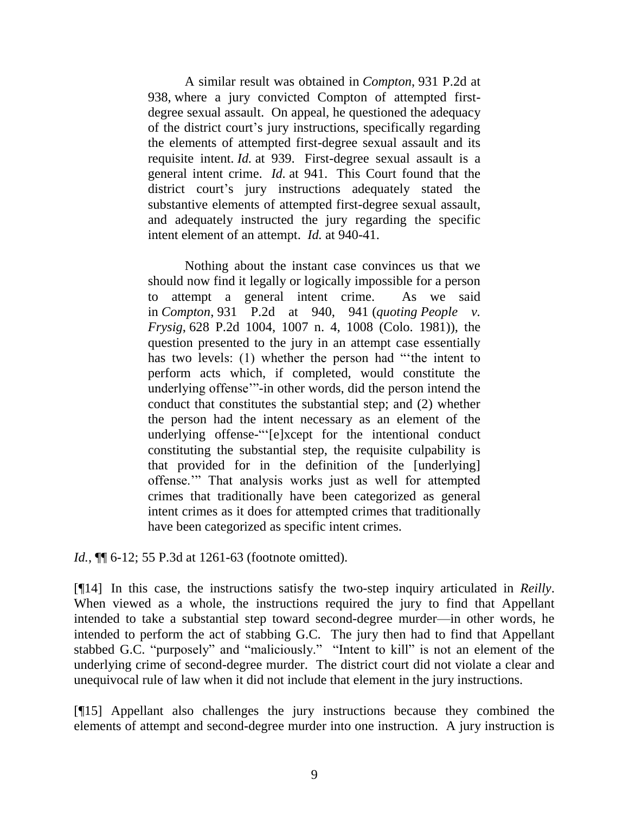A similar result was obtained in *Compton*, 931 P.2d at 938, where a jury convicted Compton of attempted firstdegree sexual assault. On appeal, he questioned the adequacy of the district court"s jury instructions, specifically regarding the elements of attempted first-degree sexual assault and its requisite intent. *Id.* at 939. First-degree sexual assault is a general intent crime. *Id.* at 941. This Court found that the district court's jury instructions adequately stated the substantive elements of attempted first-degree sexual assault, and adequately instructed the jury regarding the specific intent element of an attempt. *Id.* at 940-41.

Nothing about the instant case convinces us that we should now find it legally or logically impossible for a person to attempt a general intent crime. As we said in *Compton*, 931 P.2d at 940, 941 (*quoting People v. Frysig*, 628 P.2d 1004, 1007 n. 4, 1008 (Colo. 1981)), the question presented to the jury in an attempt case essentially has two levels: (1) whether the person had ""the intent to perform acts which, if completed, would constitute the underlying offense""-in other words, did the person intend the conduct that constitutes the substantial step; and (2) whether the person had the intent necessary as an element of the underlying offense-""[e]xcept for the intentional conduct constituting the substantial step, the requisite culpability is that provided for in the definition of the [underlying] offense."" That analysis works just as well for attempted crimes that traditionally have been categorized as general intent crimes as it does for attempted crimes that traditionally have been categorized as specific intent crimes.

*Id.*,  $\P$  6-12; 55 P.3d at 1261-63 (footnote omitted).

[¶14] In this case, the instructions satisfy the two-step inquiry articulated in *Reilly*. When viewed as a whole, the instructions required the jury to find that Appellant intended to take a substantial step toward second-degree murder—in other words, he intended to perform the act of stabbing G.C. The jury then had to find that Appellant stabbed G.C. "purposely" and "maliciously." "Intent to kill" is not an element of the underlying crime of second-degree murder. The district court did not violate a clear and unequivocal rule of law when it did not include that element in the jury instructions.

[¶15] Appellant also challenges the jury instructions because they combined the elements of attempt and second-degree murder into one instruction. A jury instruction is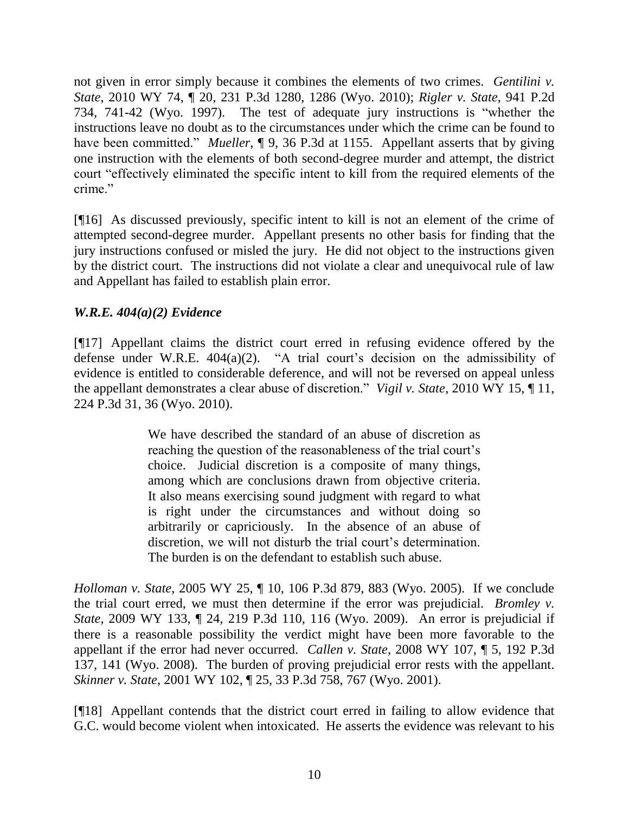not given in error simply because it combines the elements of two crimes. *Gentilini v. State*, 2010 WY 74, ¶ 20, 231 P.3d 1280, 1286 (Wyo. 2010); *Rigler v. State*, 941 P.2d 734, 741-42 (Wyo. 1997). The test of adequate jury instructions is "whether the instructions leave no doubt as to the circumstances under which the crime can be found to have been committed." *Mueller*, ¶ 9, 36 P.3d at 1155. Appellant asserts that by giving one instruction with the elements of both second-degree murder and attempt, the district court "effectively eliminated the specific intent to kill from the required elements of the crime."

[¶16] As discussed previously, specific intent to kill is not an element of the crime of attempted second-degree murder. Appellant presents no other basis for finding that the jury instructions confused or misled the jury. He did not object to the instructions given by the district court. The instructions did not violate a clear and unequivocal rule of law and Appellant has failed to establish plain error.

# *W.R.E. 404(a)(2) Evidence*

[¶17] Appellant claims the district court erred in refusing evidence offered by the defense under W.R.E.  $404(a)(2)$ . "A trial court's decision on the admissibility of evidence is entitled to considerable deference, and will not be reversed on appeal unless the appellant demonstrates a clear abuse of discretion." *Vigil v. State*, 2010 WY 15, ¶ 11, 224 P.3d 31, 36 (Wyo. 2010).

> We have described the standard of an abuse of discretion as reaching the question of the reasonableness of the trial court's choice. Judicial discretion is a composite of many things, among which are conclusions drawn from objective criteria. It also means exercising sound judgment with regard to what is right under the circumstances and without doing so arbitrarily or capriciously. In the absence of an abuse of discretion, we will not disturb the trial court's determination. The burden is on the defendant to establish such abuse.

*Holloman v. State*, 2005 WY 25, ¶ 10, 106 P.3d 879, 883 (Wyo. 2005). If we conclude the trial court erred, we must then determine if the error was prejudicial. *Bromley v. State*, 2009 WY 133, ¶ 24, 219 P.3d 110, 116 (Wyo. 2009). An error is prejudicial if there is a reasonable possibility the verdict might have been more favorable to the appellant if the error had never occurred. *Callen v. State*, 2008 WY 107, ¶ 5, 192 P.3d 137, 141 (Wyo. 2008). The burden of proving prejudicial error rests with the appellant. *Skinner v. State*, 2001 WY 102, ¶ 25, 33 P.3d 758, 767 (Wyo. 2001).

[¶18] Appellant contends that the district court erred in failing to allow evidence that G.C. would become violent when intoxicated. He asserts the evidence was relevant to his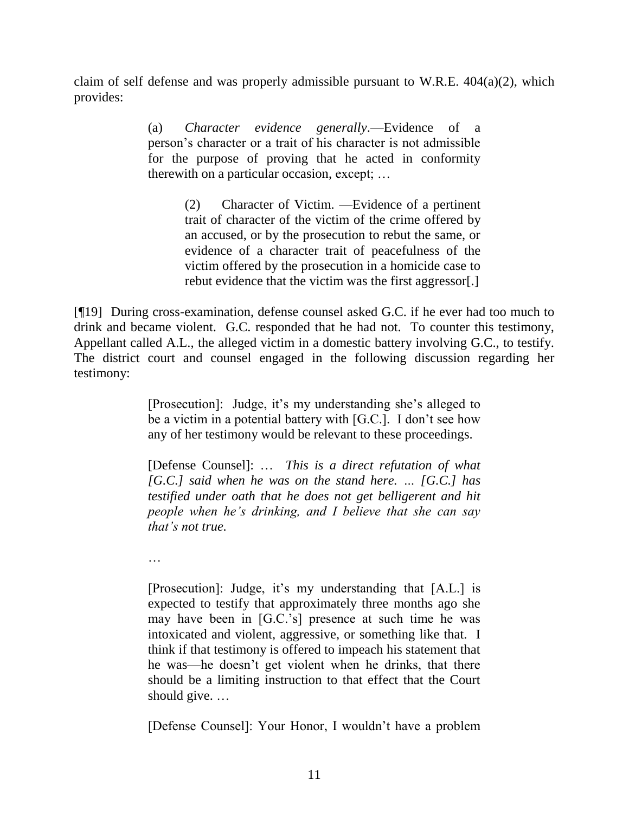claim of self defense and was properly admissible pursuant to W.R.E. 404(a)(2), which provides:

> (a) *Character evidence generally*.—Evidence of a person"s character or a trait of his character is not admissible for the purpose of proving that he acted in conformity therewith on a particular occasion, except; …

> > (2) Character of Victim. —Evidence of a pertinent trait of character of the victim of the crime offered by an accused, or by the prosecution to rebut the same, or evidence of a character trait of peacefulness of the victim offered by the prosecution in a homicide case to rebut evidence that the victim was the first aggressor[.]

[¶19] During cross-examination, defense counsel asked G.C. if he ever had too much to drink and became violent. G.C. responded that he had not. To counter this testimony, Appellant called A.L., the alleged victim in a domestic battery involving G.C., to testify. The district court and counsel engaged in the following discussion regarding her testimony:

> [Prosecution]: Judge, it's my understanding she's alleged to be a victim in a potential battery with [G.C.]. I don't see how any of her testimony would be relevant to these proceedings.

> [Defense Counsel]: … *This is a direct refutation of what [G.C.] said when he was on the stand here. … [G.C.] has testified under oath that he does not get belligerent and hit people when he's drinking, and I believe that she can say that's not true.*

…

[Prosecution]: Judge, it's my understanding that [A.L.] is expected to testify that approximately three months ago she may have been in [G.C."s] presence at such time he was intoxicated and violent, aggressive, or something like that. I think if that testimony is offered to impeach his statement that he was—he doesn"t get violent when he drinks, that there should be a limiting instruction to that effect that the Court should give. …

[Defense Counsel]: Your Honor, I wouldn"t have a problem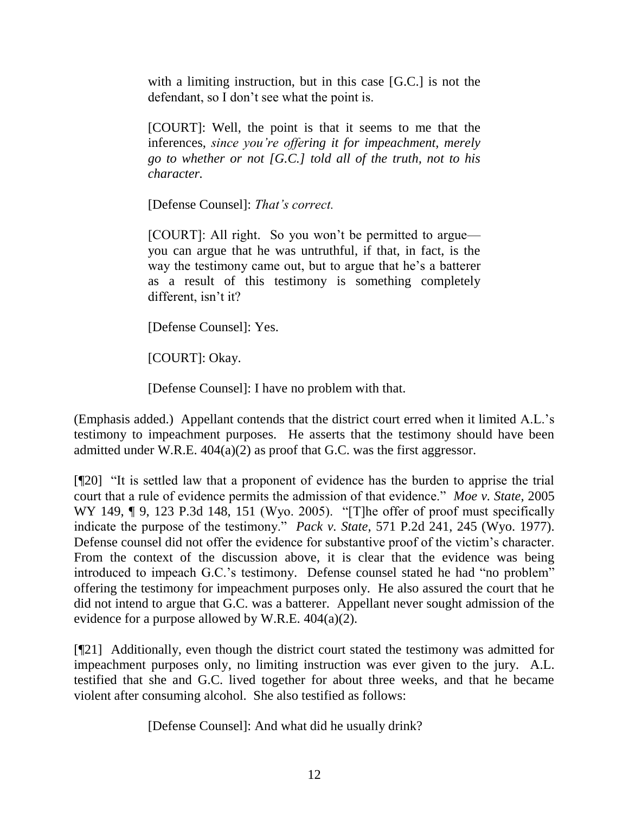with a limiting instruction, but in this case [G.C.] is not the defendant, so I don"t see what the point is.

[COURT]: Well, the point is that it seems to me that the inferences, *since you're offering it for impeachment, merely go to whether or not [G.C.] told all of the truth, not to his character.*

[Defense Counsel]: *That's correct.*

[COURT]: All right. So you won"t be permitted to argue you can argue that he was untruthful, if that, in fact, is the way the testimony came out, but to argue that he's a batterer as a result of this testimony is something completely different, isn't it?

[Defense Counsel]: Yes.

[COURT]: Okay.

[Defense Counsel]: I have no problem with that.

(Emphasis added.) Appellant contends that the district court erred when it limited A.L."s testimony to impeachment purposes. He asserts that the testimony should have been admitted under W.R.E. 404(a)(2) as proof that G.C. was the first aggressor.

[¶20] "It is settled law that a proponent of evidence has the burden to apprise the trial court that a rule of evidence permits the admission of that evidence." *Moe v. State*, 2005 WY 149, ¶ 9, 123 P.3d 148, 151 (Wyo. 2005). "[T]he offer of proof must specifically indicate the purpose of the testimony." *Pack v. State*, 571 P.2d 241, 245 (Wyo. 1977). Defense counsel did not offer the evidence for substantive proof of the victim's character. From the context of the discussion above, it is clear that the evidence was being introduced to impeach G.C."s testimony. Defense counsel stated he had "no problem" offering the testimony for impeachment purposes only. He also assured the court that he did not intend to argue that G.C. was a batterer. Appellant never sought admission of the evidence for a purpose allowed by W.R.E.  $404(a)(2)$ .

[¶21] Additionally, even though the district court stated the testimony was admitted for impeachment purposes only, no limiting instruction was ever given to the jury. A.L. testified that she and G.C. lived together for about three weeks, and that he became violent after consuming alcohol. She also testified as follows:

[Defense Counsel]: And what did he usually drink?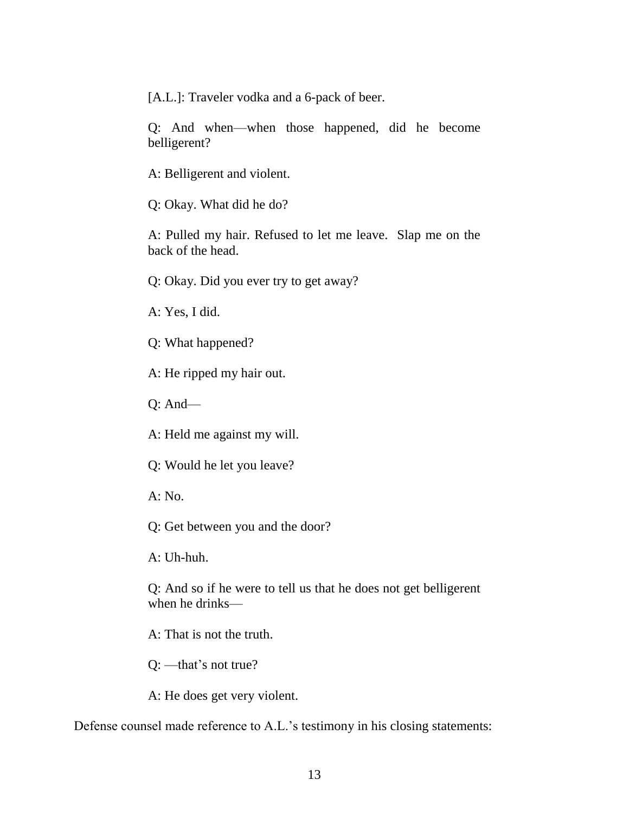[A.L.]: Traveler vodka and a 6-pack of beer.

Q: And when—when those happened, did he become belligerent?

A: Belligerent and violent.

Q: Okay. What did he do?

A: Pulled my hair. Refused to let me leave. Slap me on the back of the head.

Q: Okay. Did you ever try to get away?

A: Yes, I did.

Q: What happened?

A: He ripped my hair out.

Q: And—

A: Held me against my will.

Q: Would he let you leave?

 $A: No.$ 

Q: Get between you and the door?

A: Uh-huh.

Q: And so if he were to tell us that he does not get belligerent when he drinks—

A: That is not the truth.

Q: —that"s not true?

A: He does get very violent.

Defense counsel made reference to A.L."s testimony in his closing statements: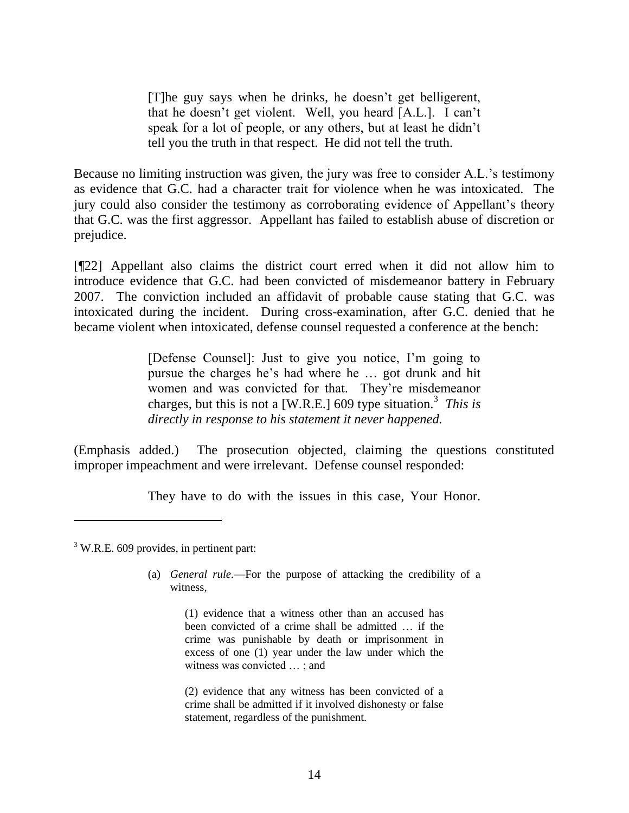[T]he guy says when he drinks, he doesn"t get belligerent, that he doesn"t get violent. Well, you heard [A.L.]. I can"t speak for a lot of people, or any others, but at least he didn"t tell you the truth in that respect. He did not tell the truth.

Because no limiting instruction was given, the jury was free to consider A.L.'s testimony as evidence that G.C. had a character trait for violence when he was intoxicated. The jury could also consider the testimony as corroborating evidence of Appellant's theory that G.C. was the first aggressor. Appellant has failed to establish abuse of discretion or prejudice.

[¶22] Appellant also claims the district court erred when it did not allow him to introduce evidence that G.C. had been convicted of misdemeanor battery in February 2007. The conviction included an affidavit of probable cause stating that G.C. was intoxicated during the incident. During cross-examination, after G.C. denied that he became violent when intoxicated, defense counsel requested a conference at the bench:

> [Defense Counsel]: Just to give you notice, I"m going to pursue the charges he"s had where he … got drunk and hit women and was convicted for that. They"re misdemeanor charges, but this is not a [W.R.E.] 609 type situation.<sup>3</sup> This is *directly in response to his statement it never happened.*

(Emphasis added.) The prosecution objected, claiming the questions constituted improper impeachment and were irrelevant. Defense counsel responded:

They have to do with the issues in this case, Your Honor.

 $3$  W.R.E. 609 provides, in pertinent part:

 $\overline{a}$ 

(a) *General rule*.—For the purpose of attacking the credibility of a witness,

> (1) evidence that a witness other than an accused has been convicted of a crime shall be admitted … if the crime was punishable by death or imprisonment in excess of one (1) year under the law under which the witness was convicted … ; and

> (2) evidence that any witness has been convicted of a crime shall be admitted if it involved dishonesty or false statement, regardless of the punishment.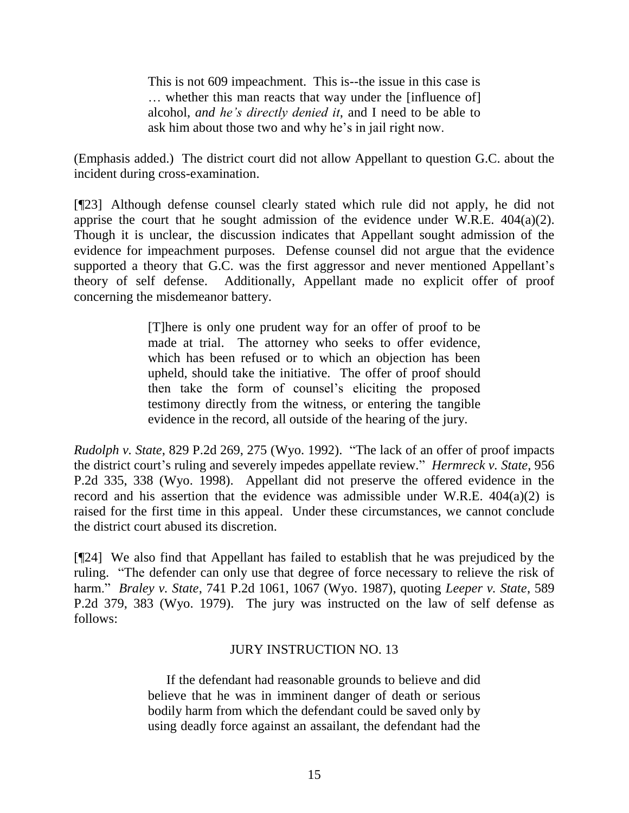This is not 609 impeachment. This is--the issue in this case is … whether this man reacts that way under the [influence of] alcohol, *and he's directly denied it*, and I need to be able to ask him about those two and why he"s in jail right now.

(Emphasis added.) The district court did not allow Appellant to question G.C. about the incident during cross-examination.

[¶23] Although defense counsel clearly stated which rule did not apply, he did not apprise the court that he sought admission of the evidence under W.R.E. 404(a)(2). Though it is unclear, the discussion indicates that Appellant sought admission of the evidence for impeachment purposes. Defense counsel did not argue that the evidence supported a theory that G.C. was the first aggressor and never mentioned Appellant's theory of self defense. Additionally, Appellant made no explicit offer of proof concerning the misdemeanor battery.

> [T]here is only one prudent way for an offer of proof to be made at trial. The attorney who seeks to offer evidence, which has been refused or to which an objection has been upheld, should take the initiative. The offer of proof should then take the form of counsel"s eliciting the proposed testimony directly from the witness, or entering the tangible evidence in the record, all outside of the hearing of the jury.

*Rudolph v. State*, 829 P.2d 269, 275 (Wyo. 1992). "The lack of an offer of proof impacts the district court's ruling and severely impedes appellate review." *Hermreck v. State*, 956 P.2d 335, 338 (Wyo. 1998). Appellant did not preserve the offered evidence in the record and his assertion that the evidence was admissible under W.R.E. 404(a)(2) is raised for the first time in this appeal. Under these circumstances, we cannot conclude the district court abused its discretion.

[¶24] We also find that Appellant has failed to establish that he was prejudiced by the ruling. "The defender can only use that degree of force necessary to relieve the risk of harm." *Braley v. State*, 741 P.2d 1061, 1067 (Wyo. 1987), quoting *Leeper v. State*, 589 P.2d 379, 383 (Wyo. 1979). The jury was instructed on the law of self defense as follows:

# JURY INSTRUCTION NO. 13

If the defendant had reasonable grounds to believe and did believe that he was in imminent danger of death or serious bodily harm from which the defendant could be saved only by using deadly force against an assailant, the defendant had the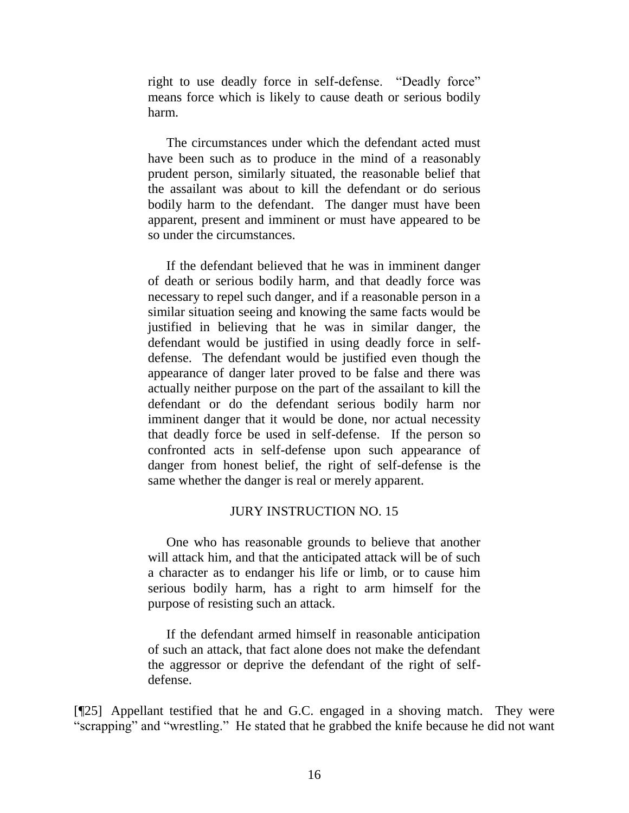right to use deadly force in self-defense. "Deadly force" means force which is likely to cause death or serious bodily harm.

The circumstances under which the defendant acted must have been such as to produce in the mind of a reasonably prudent person, similarly situated, the reasonable belief that the assailant was about to kill the defendant or do serious bodily harm to the defendant. The danger must have been apparent, present and imminent or must have appeared to be so under the circumstances.

If the defendant believed that he was in imminent danger of death or serious bodily harm, and that deadly force was necessary to repel such danger, and if a reasonable person in a similar situation seeing and knowing the same facts would be justified in believing that he was in similar danger, the defendant would be justified in using deadly force in selfdefense. The defendant would be justified even though the appearance of danger later proved to be false and there was actually neither purpose on the part of the assailant to kill the defendant or do the defendant serious bodily harm nor imminent danger that it would be done, nor actual necessity that deadly force be used in self-defense. If the person so confronted acts in self-defense upon such appearance of danger from honest belief, the right of self-defense is the same whether the danger is real or merely apparent.

#### JURY INSTRUCTION NO. 15

One who has reasonable grounds to believe that another will attack him, and that the anticipated attack will be of such a character as to endanger his life or limb, or to cause him serious bodily harm, has a right to arm himself for the purpose of resisting such an attack.

If the defendant armed himself in reasonable anticipation of such an attack, that fact alone does not make the defendant the aggressor or deprive the defendant of the right of selfdefense.

[¶25] Appellant testified that he and G.C. engaged in a shoving match. They were "scrapping" and "wrestling." He stated that he grabbed the knife because he did not want